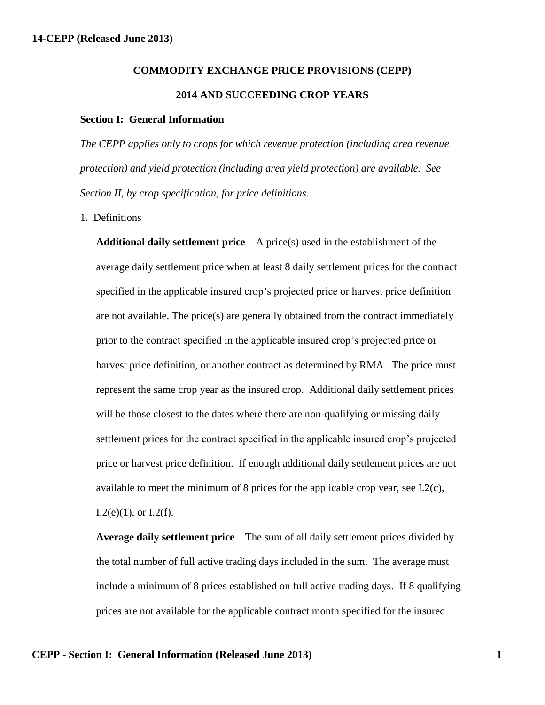## **COMMODITY EXCHANGE PRICE PROVISIONS (CEPP) 2014 AND SUCCEEDING CROP YEARS**

## **Section I: General Information**

*The CEPP applies only to crops for which revenue protection (including area revenue protection) and yield protection (including area yield protection) are available. See Section II, by crop specification, for price definitions.*

1. Definitions

**Additional daily settlement price** – A price(s) used in the establishment of the average daily settlement price when at least 8 daily settlement prices for the contract specified in the applicable insured crop's projected price or harvest price definition are not available. The price(s) are generally obtained from the contract immediately prior to the contract specified in the applicable insured crop's projected price or harvest price definition, or another contract as determined by RMA. The price must represent the same crop year as the insured crop. Additional daily settlement prices will be those closest to the dates where there are non-qualifying or missing daily settlement prices for the contract specified in the applicable insured crop's projected price or harvest price definition. If enough additional daily settlement prices are not available to meet the minimum of 8 prices for the applicable crop year, see I.2(c),  $I.2(e)(1)$ , or  $I.2(f)$ .

**Average daily settlement price** – The sum of all daily settlement prices divided by the total number of full active trading days included in the sum. The average must include a minimum of 8 prices established on full active trading days. If 8 qualifying prices are not available for the applicable contract month specified for the insured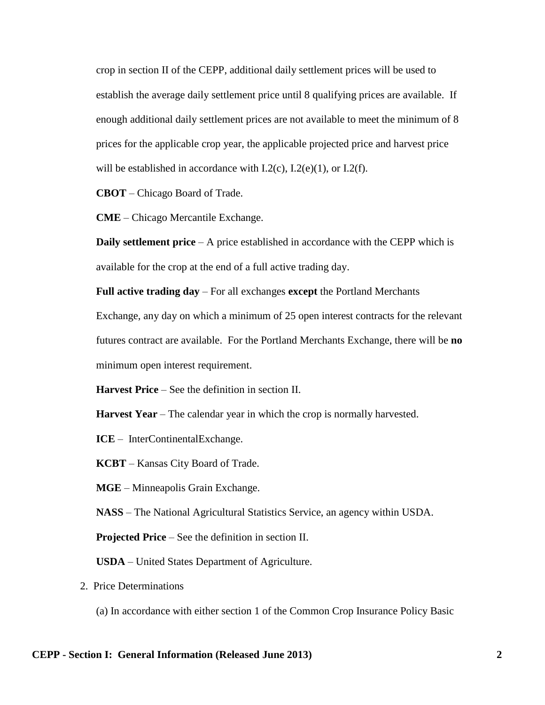crop in section II of the CEPP, additional daily settlement prices will be used to establish the average daily settlement price until 8 qualifying prices are available. If enough additional daily settlement prices are not available to meet the minimum of 8 prices for the applicable crop year, the applicable projected price and harvest price will be established in accordance with  $L2(c)$ ,  $L2(e)(1)$ , or  $L2(f)$ .

**CBOT** – Chicago Board of Trade.

**CME** – Chicago Mercantile Exchange.

**Daily settlement price** – A price established in accordance with the CEPP which is available for the crop at the end of a full active trading day.

**Full active trading day** – For all exchanges **except** the Portland Merchants

Exchange, any day on which a minimum of 25 open interest contracts for the relevant futures contract are available. For the Portland Merchants Exchange, there will be **no** minimum open interest requirement.

**Harvest Price** – See the definition in section II.

**Harvest Year** – The calendar year in which the crop is normally harvested.

**ICE** – InterContinentalExchange.

**KCBT** – Kansas City Board of Trade.

**MGE** – Minneapolis Grain Exchange.

**NASS** – The National Agricultural Statistics Service, an agency within USDA.

**Projected Price** – See the definition in section II.

**USDA** – United States Department of Agriculture.

2. Price Determinations

(a) In accordance with either section 1 of the Common Crop Insurance Policy Basic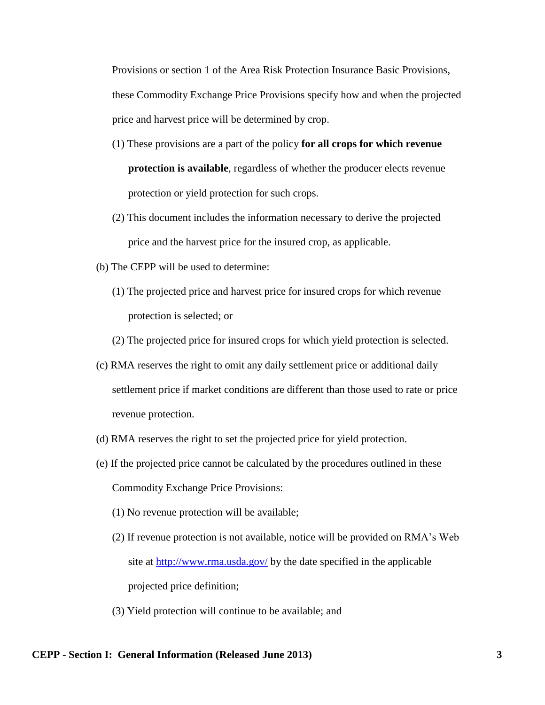Provisions or section 1 of the Area Risk Protection Insurance Basic Provisions, these Commodity Exchange Price Provisions specify how and when the projected price and harvest price will be determined by crop.

- (1) These provisions are a part of the policy **for all crops for which revenue protection is available**, regardless of whether the producer elects revenue protection or yield protection for such crops.
- (2) This document includes the information necessary to derive the projected price and the harvest price for the insured crop, as applicable.
- (b) The CEPP will be used to determine:
	- (1) The projected price and harvest price for insured crops for which revenue protection is selected; or
	- (2) The projected price for insured crops for which yield protection is selected.
- (c) RMA reserves the right to omit any daily settlement price or additional daily settlement price if market conditions are different than those used to rate or price revenue protection.
- (d) RMA reserves the right to set the projected price for yield protection.
- (e) If the projected price cannot be calculated by the procedures outlined in these Commodity Exchange Price Provisions:
	- (1) No revenue protection will be available;
	- (2) If revenue protection is not available, notice will be provided on RMA's Web site at <u>http://www.rma.usda.gov/</u> by the date specified in the applicable projected price definition;
	- (3) Yield protection will continue to be available; and